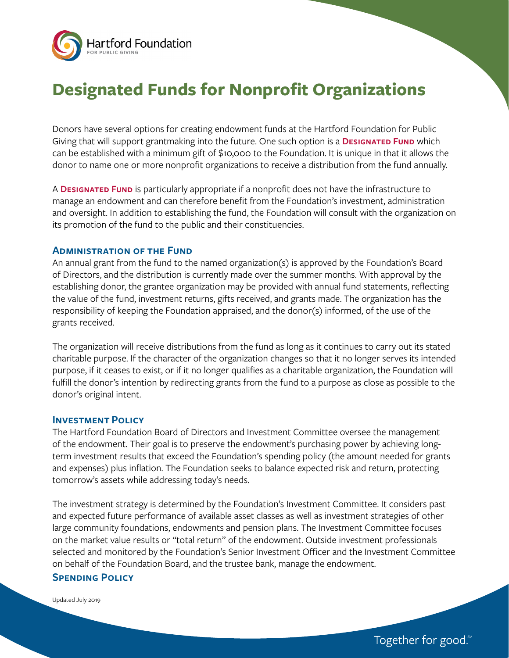

# **Designated Funds for Nonprofit Organizations**

Donors have several options for creating endowment funds at the Hartford Foundation for Public Giving that will support grantmaking into the future. One such option is a **DESIGNATED FUND** which can be established with a minimum gift of \$10,000 to the Foundation. It is unique in that it allows the donor to name one or more nonprofit organizations to receive a distribution from the fund annually.

A **Designated Fund** is particularly appropriate if a nonprofit does not have the infrastructure to manage an endowment and can therefore benefit from the Foundation's investment, administration and oversight. In addition to establishing the fund, the Foundation will consult with the organization on its promotion of the fund to the public and their constituencies.

### **Administration of the Fund**

An annual grant from the fund to the named organization(s) is approved by the Foundation's Board of Directors, and the distribution is currently made over the summer months. With approval by the establishing donor, the grantee organization may be provided with annual fund statements, reflecting the value of the fund, investment returns, gifts received, and grants made. The organization has the responsibility of keeping the Foundation appraised, and the donor(s) informed, of the use of the grants received.

The organization will receive distributions from the fund as long as it continues to carry out its stated charitable purpose. If the character of the organization changes so that it no longer serves its intended purpose, if it ceases to exist, or if it no longer qualifies as a charitable organization, the Foundation will fulfill the donor's intention by redirecting grants from the fund to a purpose as close as possible to the donor's original intent.

## **Investment Policy**

The Hartford Foundation Board of Directors and Investment Committee oversee the management of the endowment. Their goal is to preserve the endowment's purchasing power by achieving longterm investment results that exceed the Foundation's spending policy (the amount needed for grants and expenses) plus inflation. The Foundation seeks to balance expected risk and return, protecting tomorrow's assets while addressing today's needs.

The investment strategy is determined by the Foundation's Investment Committee. It considers past and expected future performance of available asset classes as well as investment strategies of other large community foundations, endowments and pension plans. The Investment Committee focuses on the market value results or "total return" of the endowment. Outside investment professionals selected and monitored by the Foundation's Senior Investment Officer and the Investment Committee on behalf of the Foundation Board, and the trustee bank, manage the endowment.

### **Spending Policy**

Updated July 2019

Together for good.<sup>8M</sup>